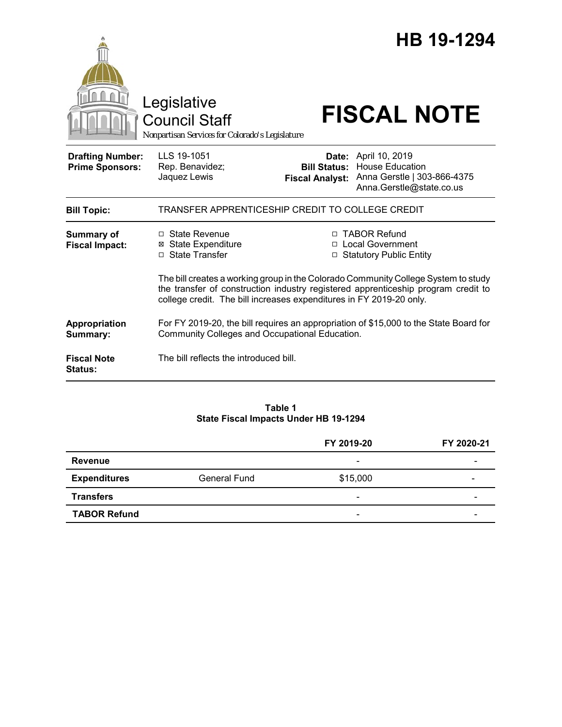|                                                   | Legislative<br><b>Council Staff</b><br>Nonpartisan Services for Colorado's Legislature                                                                   |                                               | HB 19-1294<br><b>FISCAL NOTE</b>                                                                                                                                       |  |
|---------------------------------------------------|----------------------------------------------------------------------------------------------------------------------------------------------------------|-----------------------------------------------|------------------------------------------------------------------------------------------------------------------------------------------------------------------------|--|
| <b>Drafting Number:</b><br><b>Prime Sponsors:</b> | LLS 19-1051<br>Rep. Benavidez;<br>Jaquez Lewis                                                                                                           | <b>Bill Status:</b><br><b>Fiscal Analyst:</b> | Date: April 10, 2019<br><b>House Education</b><br>Anna Gerstle   303-866-4375<br>Anna.Gerstle@state.co.us                                                              |  |
| <b>Bill Topic:</b>                                | TRANSFER APPRENTICESHIP CREDIT TO COLLEGE CREDIT                                                                                                         |                                               |                                                                                                                                                                        |  |
| <b>Summary of</b><br><b>Fiscal Impact:</b>        | $\Box$ State Revenue<br><b>⊠ State Expenditure</b><br>□ State Transfer                                                                                   | П.<br>$\Box$                                  | <b>TABOR Refund</b><br><b>Local Government</b><br><b>Statutory Public Entity</b><br>The bill creates a working group in the Colorado Community College System to study |  |
|                                                   | the transfer of construction industry registered apprenticeship program credit to<br>college credit. The bill increases expenditures in FY 2019-20 only. |                                               |                                                                                                                                                                        |  |
| Appropriation<br>Summary:                         | For FY 2019-20, the bill requires an appropriation of \$15,000 to the State Board for<br>Community Colleges and Occupational Education.                  |                                               |                                                                                                                                                                        |  |
| <b>Fiscal Note</b><br><b>Status:</b>              | The bill reflects the introduced bill.                                                                                                                   |                                               |                                                                                                                                                                        |  |

#### **Table 1 State Fiscal Impacts Under HB 19-1294**

|                     |              | FY 2019-20               | FY 2020-21 |
|---------------------|--------------|--------------------------|------------|
| Revenue             |              | $\overline{\phantom{a}}$ |            |
| <b>Expenditures</b> | General Fund | \$15,000                 |            |
| <b>Transfers</b>    |              | $\overline{\phantom{a}}$ |            |
| <b>TABOR Refund</b> |              | $\overline{\phantom{a}}$ |            |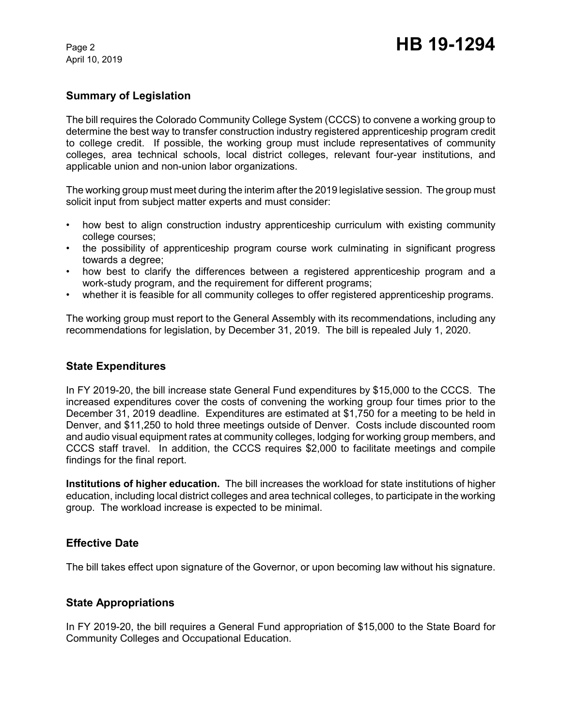April 10, 2019

# **Summary of Legislation**

The bill requires the Colorado Community College System (CCCS) to convene a working group to determine the best way to transfer construction industry registered apprenticeship program credit to college credit. If possible, the working group must include representatives of community colleges, area technical schools, local district colleges, relevant four-year institutions, and applicable union and non-union labor organizations.

The working group must meet during the interim after the 2019 legislative session. The group must solicit input from subject matter experts and must consider:

- how best to align construction industry apprenticeship curriculum with existing community college courses;
- the possibility of apprenticeship program course work culminating in significant progress towards a degree;
- how best to clarify the differences between a registered apprenticeship program and a work-study program, and the requirement for different programs;
- whether it is feasible for all community colleges to offer registered apprenticeship programs.

The working group must report to the General Assembly with its recommendations, including any recommendations for legislation, by December 31, 2019. The bill is repealed July 1, 2020.

### **State Expenditures**

In FY 2019-20, the bill increase state General Fund expenditures by \$15,000 to the CCCS. The increased expenditures cover the costs of convening the working group four times prior to the December 31, 2019 deadline. Expenditures are estimated at \$1,750 for a meeting to be held in Denver, and \$11,250 to hold three meetings outside of Denver. Costs include discounted room and audio visual equipment rates at community colleges, lodging for working group members, and CCCS staff travel. In addition, the CCCS requires \$2,000 to facilitate meetings and compile findings for the final report.

**Institutions of higher education.** The bill increases the workload for state institutions of higher education, including local district colleges and area technical colleges, to participate in the working group. The workload increase is expected to be minimal.

### **Effective Date**

The bill takes effect upon signature of the Governor, or upon becoming law without his signature.

### **State Appropriations**

In FY 2019-20, the bill requires a General Fund appropriation of \$15,000 to the State Board for Community Colleges and Occupational Education.